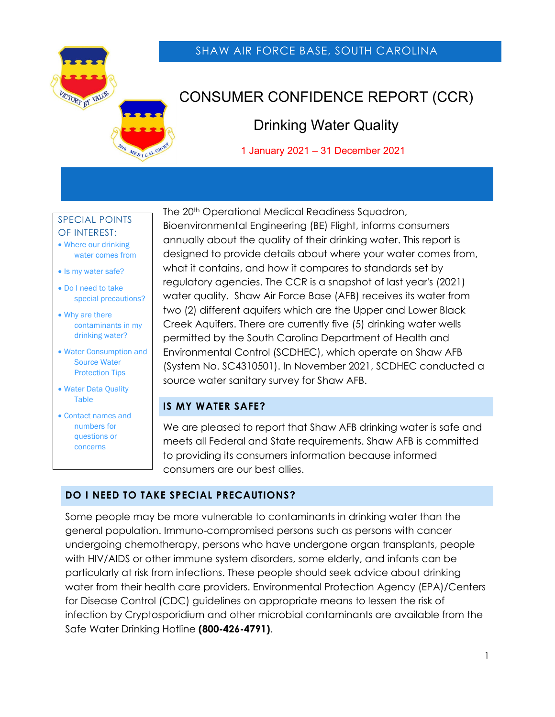

## SHAW AIR FORCE BASE, SOUTH CAROLINA

# CONSUMER CONFIDENCE REPORT (CCR)

## Drinking Water Quality

 $\frac{1}{\sqrt{2}}$   $\frac{1}{\sqrt{2}}$  January 2021 – 31 December 2021

#### SPECIAL POINTS OF INTEREST:

- Where our drinking water comes from
- Is my water safe?
- Do I need to take special precautions?
- Why are there contaminants in my drinking water?
- Water Consumption and Source Water Protection Tips
- Water Data Quality Table
- Contact names and numbers for questions or concerns

The 20<sup>th</sup> Operational Medical Readiness Squadron, Bioenvironmental Engineering (BE) Flight, informs consumers annually about the quality of their drinking water. This report is designed to provide details about where your water comes from, what it contains, and how it compares to standards set by regulatory agencies. The CCR is a snapshot of last year's (2021) water quality. Shaw Air Force Base (AFB) receives its water from two (2) different aquifers which are the Upper and Lower Black Creek Aquifers. There are currently five (5) drinking water wells permitted by the South Carolina Department of Health and Environmental Control (SCDHEC), which operate on Shaw AFB (System No. SC4310501). In November 2021, SCDHEC conducted a source water sanitary survey for Shaw AFB.

### **IS MY WATER SAFE?**

We are pleased to report that Shaw AFB drinking water is safe and meets all Federal and State requirements. Shaw AFB is committed to providing its consumers information because informed consumers are our best allies.

## **DO I NEED TO TAKE SPECIAL PRECAUTIONS?**

Some people may be more vulnerable to contaminants in drinking water than the general population. Immuno-compromised persons such as persons with cancer undergoing chemotherapy, persons who have undergone organ transplants, people with HIV/AIDS or other immune system disorders, some elderly, and infants can be particularly at risk from infections. These people should seek advice about drinking water from their health care providers. Environmental Protection Agency (EPA)/Centers for Disease Control (CDC) guidelines on appropriate means to lessen the risk of infection by Cryptosporidium and other microbial contaminants are available from the Safe Water Drinking Hotline **(800-426-4791)**.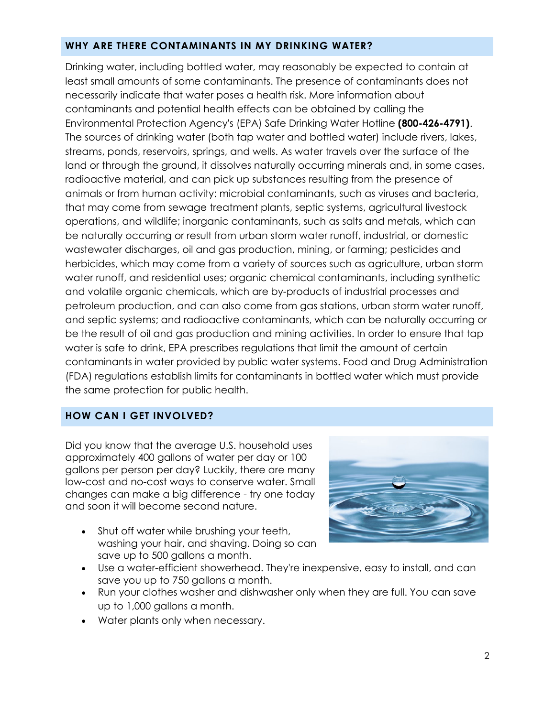#### **WHY ARE THERE CONTAMINANTS IN MY DRINKING WATER?**

Drinking water, including bottled water, may reasonably be expected to contain at least small amounts of some contaminants. The presence of contaminants does not necessarily indicate that water poses a health risk. More information about contaminants and potential health effects can be obtained by calling the Environmental Protection Agency's (EPA) Safe Drinking Water Hotline **(800-426-4791)**. The sources of drinking water (both tap water and bottled water) include rivers, lakes, streams, ponds, reservoirs, springs, and wells. As water travels over the surface of the land or through the ground, it dissolves naturally occurring minerals and, in some cases, radioactive material, and can pick up substances resulting from the presence of animals or from human activity: microbial contaminants, such as viruses and bacteria, that may come from sewage treatment plants, septic systems, agricultural livestock operations, and wildlife; inorganic contaminants, such as salts and metals, which can be naturally occurring or result from urban storm water runoff, industrial, or domestic wastewater discharges, oil and gas production, mining, or farming; pesticides and herbicides, which may come from a variety of sources such as agriculture, urban storm water runoff, and residential uses; organic chemical contaminants, including synthetic and volatile organic chemicals, which are by-products of industrial processes and petroleum production, and can also come from gas stations, urban storm water runoff, and septic systems; and radioactive contaminants, which can be naturally occurring or be the result of oil and gas production and mining activities. In order to ensure that tap water is safe to drink, EPA prescribes regulations that limit the amount of certain contaminants in water provided by public water systems. Food and Drug Administration (FDA) regulations establish limits for contaminants in bottled water which must provide the same protection for public health.

#### **HOW CAN I GET INVOLVED?**

Did you know that the average U.S. household uses approximately 400 gallons of water per day or 100 gallons per person per day? Luckily, there are many low-cost and no-cost ways to conserve water. Small changes can make a big difference - try one today and soon it will become second nature.

• Shut off water while brushing your teeth, washing your hair, and shaving. Doing so can save up to 500 gallons a month.



- Use a water-efficient showerhead. They're inexpensive, easy to install, and can save you up to 750 gallons a month.
- Run your clothes washer and dishwasher only when they are full. You can save up to 1,000 gallons a month.
- Water plants only when necessary.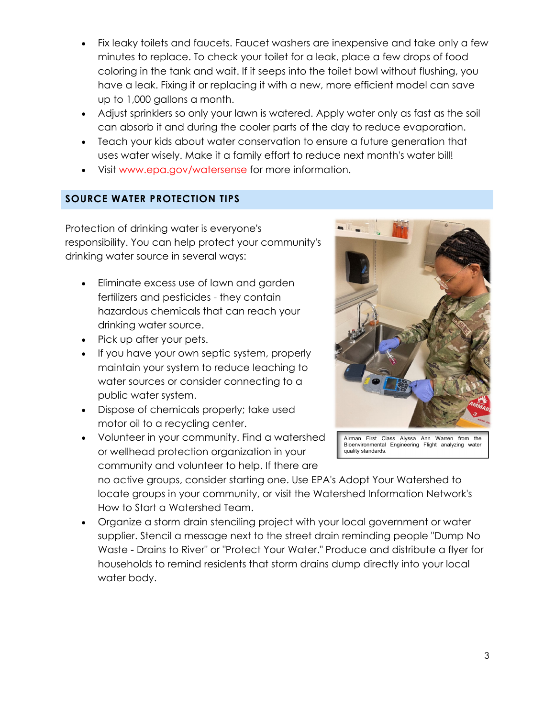- Fix leaky toilets and faucets. Faucet washers are inexpensive and take only a few minutes to replace. To check your toilet for a leak, place a few drops of food coloring in the tank and wait. If it seeps into the toilet bowl without flushing, you have a leak. Fixing it or replacing it with a new, more efficient model can save up to 1,000 gallons a month.
- Adjust sprinklers so only your lawn is watered. Apply water only as fast as the soil can absorb it and during the cooler parts of the day to reduce evaporation.
- Teach your kids about water conservation to ensure a future generation that uses water wisely. Make it a family effort to reduce next month's water bill!
- Visit www.epa.gov/watersense for more information.

## **SOURCE WATER PROTECTION TIPS**

Protection of drinking water is everyone's responsibility. You can help protect your community's drinking water source in several ways:

- **Eliminate excess use of lawn and garden** fertilizers and pesticides - they contain hazardous chemicals that can reach your drinking water source.
- Pick up after your pets.
- If you have your own septic system, properly maintain your system to reduce leaching to water sources or consider connecting to a public water system.
- Dispose of chemicals properly; take used motor oil to a recycling center.
- Volunteer in your community. Find a watershed or wellhead protection organization in your community and volunteer to help. If there are

no active groups, consider starting one. Use EPA's Adopt Your Watershed to locate groups in your community, or visit the Watershed Information Network's How to Start a Watershed Team.

 Organize a storm drain stenciling project with your local government or water supplier. Stencil a message next to the street drain reminding people "Dump No Waste - Drains to River" or "Protect Your Water." Produce and distribute a flyer for households to remind residents that storm drains dump directly into your local water body.



Airman First Class Alyssa Ann Warren from the Bioenvironmental Engineering Flight analyzing water quality standards.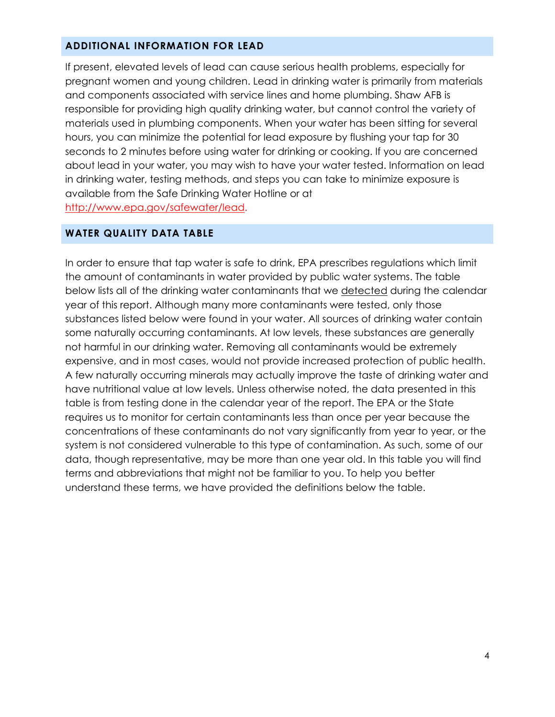#### **ADDITIONAL INFORMATION FOR LEAD**

If present, elevated levels of lead can cause serious health problems, especially for pregnant women and young children. Lead in drinking water is primarily from materials and components associated with service lines and home plumbing. Shaw AFB is responsible for providing high quality drinking water, but cannot control the variety of materials used in plumbing components. When your water has been sitting for several hours, you can minimize the potential for lead exposure by flushing your tap for 30 seconds to 2 minutes before using water for drinking or cooking. If you are concerned about lead in your water, you may wish to have your water tested. Information on lead in drinking water, testing methods, and steps you can take to minimize exposure is available from the Safe Drinking Water Hotline or at http://www.epa.gov/safewater/lead.

#### **WATER QUALITY DATA TABLE**

In order to ensure that tap water is safe to drink, EPA prescribes regulations which limit the amount of contaminants in water provided by public water systems. The table below lists all of the drinking water contaminants that we detected during the calendar year of this report. Although many more contaminants were tested, only those substances listed below were found in your water. All sources of drinking water contain some naturally occurring contaminants. At low levels, these substances are generally not harmful in our drinking water. Removing all contaminants would be extremely expensive, and in most cases, would not provide increased protection of public health. A few naturally occurring minerals may actually improve the taste of drinking water and have nutritional value at low levels. Unless otherwise noted, the data presented in this table is from testing done in the calendar year of the report. The EPA or the State requires us to monitor for certain contaminants less than once per year because the concentrations of these contaminants do not vary significantly from year to year, or the system is not considered vulnerable to this type of contamination. As such, some of our data, though representative, may be more than one year old. In this table you will find terms and abbreviations that might not be familiar to you. To help you better understand these terms, we have provided the definitions below the table.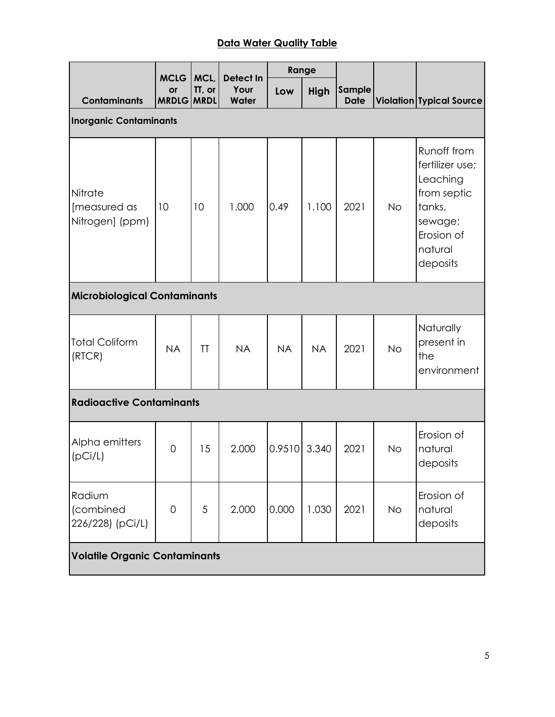## **Data Water Quality Table**

|                                            | <b>MCLG</b>             | MCL,   | Detect In     | Range     |             |                       |           |                                                                                                                     |
|--------------------------------------------|-------------------------|--------|---------------|-----------|-------------|-----------------------|-----------|---------------------------------------------------------------------------------------------------------------------|
| <b>Contaminants</b>                        | or<br><b>MRDLG MRDL</b> | TT, or | Your<br>Water | Low       | <b>High</b> | Sample<br><b>Date</b> |           | <b>Violation Typical Source</b>                                                                                     |
| <b>Inorganic Contaminants</b>              |                         |        |               |           |             |                       |           |                                                                                                                     |
| Nitrate<br>[measured as<br>Nitrogen] (ppm) | 10                      | 10     | 1.000         | 0.49      | 1.100       | 2021                  | <b>No</b> | Runoff from<br>fertilizer use;<br>Leaching<br>from septic<br>tanks,<br>sewage;<br>Erosion of<br>natural<br>deposits |
| <b>Microbiological Contaminants</b>        |                         |        |               |           |             |                       |           |                                                                                                                     |
| <b>Total Coliform</b><br>(RTCR)            | <b>NA</b>               | TT     | <b>NA</b>     | <b>NA</b> | <b>NA</b>   | 2021                  | <b>No</b> | Naturally<br>present in<br>the<br>environment                                                                       |
| <b>Radioactive Contaminants</b>            |                         |        |               |           |             |                       |           |                                                                                                                     |
| Alpha emitters<br>(pCi/L)                  | 0                       | 15     | 2.000         | 0.9510    | 3.340       | 2021                  | <b>No</b> | Erosion of<br>natural<br>deposits                                                                                   |
| Radium<br>(combined<br>226/228) (pCi/L)    | 0                       | 5      | 2.000         | 0.000     | 1.030       | 2021                  | <b>No</b> | Erosion of<br>natural<br>deposits                                                                                   |
| <b>Volatile Organic Contaminants</b>       |                         |        |               |           |             |                       |           |                                                                                                                     |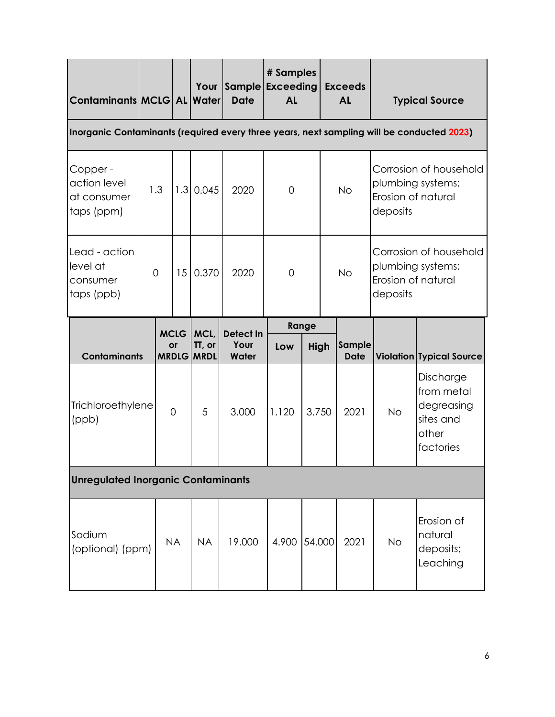| Contaminants MCLG   AL Water                          |                                                                                           |                |                           | Your                  | Sample Exceeding<br><b>Date</b> | # Samples<br><b>AL</b> |        |           | <b>Exceeds</b><br><b>AL</b> |                                                                               | <b>Typical Source</b>                          |
|-------------------------------------------------------|-------------------------------------------------------------------------------------------|----------------|---------------------------|-----------------------|---------------------------------|------------------------|--------|-----------|-----------------------------|-------------------------------------------------------------------------------|------------------------------------------------|
|                                                       | Inorganic Contaminants (required every three years, next sampling will be conducted 2023) |                |                           |                       |                                 |                        |        |           |                             |                                                                               |                                                |
| Copper -<br>action level<br>at consumer<br>taps (ppm) | 1.3                                                                                       |                |                           | $1.3$ 0.045           | 2020                            | $\mathbf 0$            |        | <b>No</b> |                             | Corrosion of household<br>plumbing systems;<br>Erosion of natural<br>deposits |                                                |
| Lead - action<br>level at<br>consumer<br>taps (ppb)   | $\overline{0}$                                                                            |                | 15                        | 0.370                 | 2020                            | $\overline{0}$         |        | <b>No</b> |                             | Corrosion of household<br>plumbing systems;<br>Erosion of natural<br>deposits |                                                |
|                                                       | <b>MCLG</b>                                                                               |                |                           | MCL,                  | <b>Detect In</b>                | Range                  |        |           |                             |                                                                               |                                                |
| <b>Contaminants</b>                                   |                                                                                           |                | <b>or</b><br><b>MRDLG</b> | TT, or<br><b>MRDL</b> | Your<br>Water                   | Low                    | High   |           | Sample<br><b>Date</b>       |                                                                               | <b>Violation Typical Source</b>                |
| Trichloroethylene<br>(ppb)                            |                                                                                           | $\overline{0}$ |                           | 5                     | 3.000                           | 3.750<br>1.120         |        | 2021      | <b>No</b>                   | Discharge<br>from metal<br>degreasing<br>sites and<br>other<br>factories      |                                                |
| <b>Unregulated Inorganic Contaminants</b>             |                                                                                           |                |                           |                       |                                 |                        |        |           |                             |                                                                               |                                                |
| Sodium<br>(optional) (ppm)                            |                                                                                           | <b>NA</b>      |                           | <b>NA</b>             | 19.000                          | 4.900                  | 54.000 |           | 2021                        | No                                                                            | Erosion of<br>natural<br>deposits;<br>Leaching |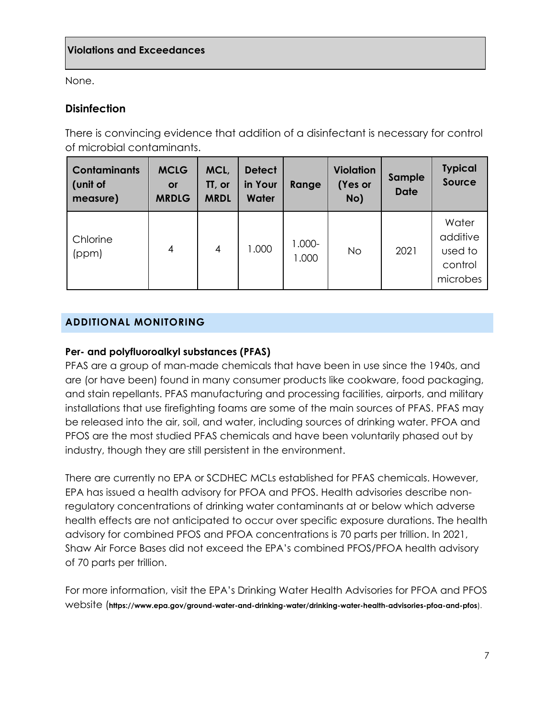None.

## **Disinfection**

There is convincing evidence that addition of a disinfectant is necessary for control of microbial contaminants.

| <b>Contaminants</b><br>(unit of<br>measure) | <b>MCLG</b><br><b>or</b><br><b>MRDLG</b> | MCL,<br>TT, or<br><b>MRDL</b> | <b>Detect</b><br>in Your<br><b>Water</b> | Range           | <b>Violation</b><br>(Yes or<br>No) | Sample<br><b>Date</b> | <b>Typical</b><br>Source                            |
|---------------------------------------------|------------------------------------------|-------------------------------|------------------------------------------|-----------------|------------------------------------|-----------------------|-----------------------------------------------------|
| Chlorine<br>(ppm)                           | 4                                        | $\overline{4}$                | 1.000                                    | 1.000-<br>1.000 | <b>No</b>                          | 2021                  | Water<br>additive<br>used to<br>control<br>microbes |

## **ADDITIONAL MONITORING**

#### **Per- and polyfluoroalkyl substances (PFAS)**

PFAS are a group of man-made chemicals that have been in use since the 1940s, and are (or have been) found in many consumer products like cookware, food packaging, and stain repellants. PFAS manufacturing and processing facilities, airports, and military installations that use firefighting foams are some of the main sources of PFAS. PFAS may be released into the air, soil, and water, including sources of drinking water. PFOA and PFOS are the most studied PFAS chemicals and have been voluntarily phased out by industry, though they are still persistent in the environment.

There are currently no EPA or SCDHEC MCLs established for PFAS chemicals. However, EPA has issued a health advisory for PFOA and PFOS. Health advisories describe nonregulatory concentrations of drinking water contaminants at or below which adverse health effects are not anticipated to occur over specific exposure durations. The health advisory for combined PFOS and PFOA concentrations is 70 parts per trillion. In 2021, Shaw Air Force Bases did not exceed the EPA's combined PFOS/PFOA health advisory of 70 parts per trillion.

For more information, visit the EPA's Drinking Water Health Advisories for PFOA and PFOS website (**https://www.epa.gov/ground-water-and-drinking-water/drinking-water-health-advisories-pfoa-and-pfos**).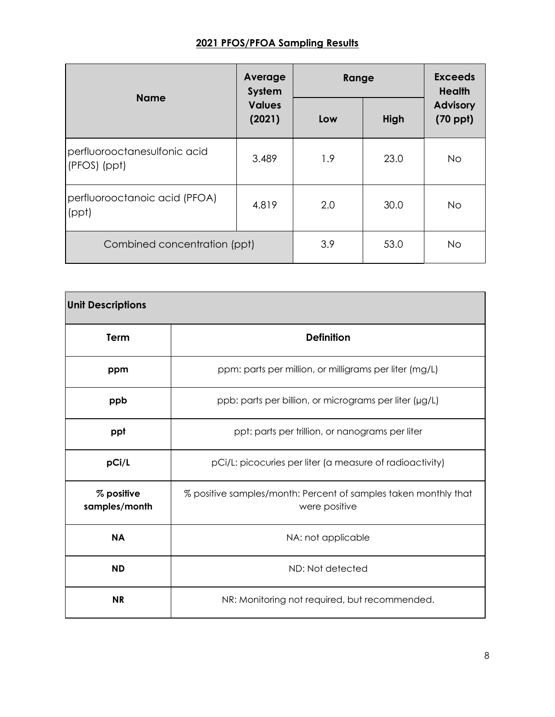## **2021 PFOS/PFOA Sampling Results**

|                                              | Average<br>System       | Range | <b>Exceeds</b><br><b>Health</b> |                                  |  |
|----------------------------------------------|-------------------------|-------|---------------------------------|----------------------------------|--|
| <b>Name</b>                                  | <b>Values</b><br>(2021) | Low   | High                            | <b>Advisory</b><br>$(70$ ppt $)$ |  |
| perfluorooctanesulfonic acid<br>(PFOS) (ppt) | 3.489                   | 1.9   | 23.0                            | No.                              |  |
| perfluorooctanoic acid (PFOA)<br>(ppt)       | 4.819                   | 2.0   | 30.0                            | <b>No</b>                        |  |
| Combined concentration (ppt)                 | 3.9                     | 53.0  | <b>No</b>                       |                                  |  |

| <b>Unit Descriptions</b>    |                                                                                  |
|-----------------------------|----------------------------------------------------------------------------------|
| <b>Term</b>                 | <b>Definition</b>                                                                |
| ppm                         | ppm: parts per million, or milligrams per liter (mg/L)                           |
| ppb                         | ppb: parts per billion, or micrograms per liter (µg/L)                           |
| ppt                         | ppt: parts per trillion, or nanograms per liter                                  |
| pCi/L                       | pCi/L: picocuries per liter (a measure of radioactivity)                         |
| % positive<br>samples/month | % positive samples/month: Percent of samples taken monthly that<br>were positive |
| <b>NA</b>                   | NA: not applicable                                                               |
| <b>ND</b>                   | ND: Not detected                                                                 |
| <b>NR</b>                   | NR: Monitoring not required, but recommended.                                    |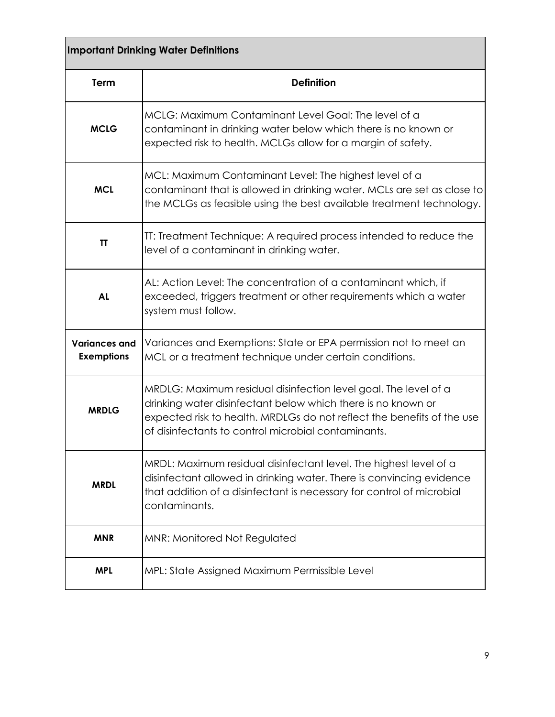| <b>Important Drinking Water Definitions</b> |                                                                                                                                                                                                                                                                  |  |  |  |  |
|---------------------------------------------|------------------------------------------------------------------------------------------------------------------------------------------------------------------------------------------------------------------------------------------------------------------|--|--|--|--|
| <b>Term</b>                                 | <b>Definition</b>                                                                                                                                                                                                                                                |  |  |  |  |
| <b>MCLG</b>                                 | MCLG: Maximum Contaminant Level Goal: The level of a<br>contaminant in drinking water below which there is no known or<br>expected risk to health. MCLGs allow for a margin of safety.                                                                           |  |  |  |  |
| <b>MCL</b>                                  | MCL: Maximum Contaminant Level: The highest level of a<br>contaminant that is allowed in drinking water. MCLs are set as close to<br>the MCLGs as feasible using the best available treatment technology.                                                        |  |  |  |  |
| ΤT                                          | TT: Treatment Technique: A required process intended to reduce the<br>level of a contaminant in drinking water.                                                                                                                                                  |  |  |  |  |
| <b>AL</b>                                   | AL: Action Level: The concentration of a contaminant which, if<br>exceeded, triggers treatment or other requirements which a water<br>system must follow.                                                                                                        |  |  |  |  |
| <b>Variances and</b><br><b>Exemptions</b>   | Variances and Exemptions: State or EPA permission not to meet an<br>MCL or a treatment technique under certain conditions.                                                                                                                                       |  |  |  |  |
| <b>MRDLG</b>                                | MRDLG: Maximum residual disinfection level goal. The level of a<br>drinking water disinfectant below which there is no known or<br>expected risk to health. MRDLGs do not reflect the benefits of the use<br>of disinfectants to control microbial contaminants. |  |  |  |  |
| <b>MRDL</b>                                 | MRDL: Maximum residual disinfectant level. The highest level of a<br>disinfectant allowed in drinking water. There is convincing evidence<br>that addition of a disinfectant is necessary for control of microbial<br>contaminants.                              |  |  |  |  |
| <b>MNR</b>                                  | MNR: Monitored Not Regulated                                                                                                                                                                                                                                     |  |  |  |  |
| <b>MPL</b>                                  | MPL: State Assigned Maximum Permissible Level                                                                                                                                                                                                                    |  |  |  |  |